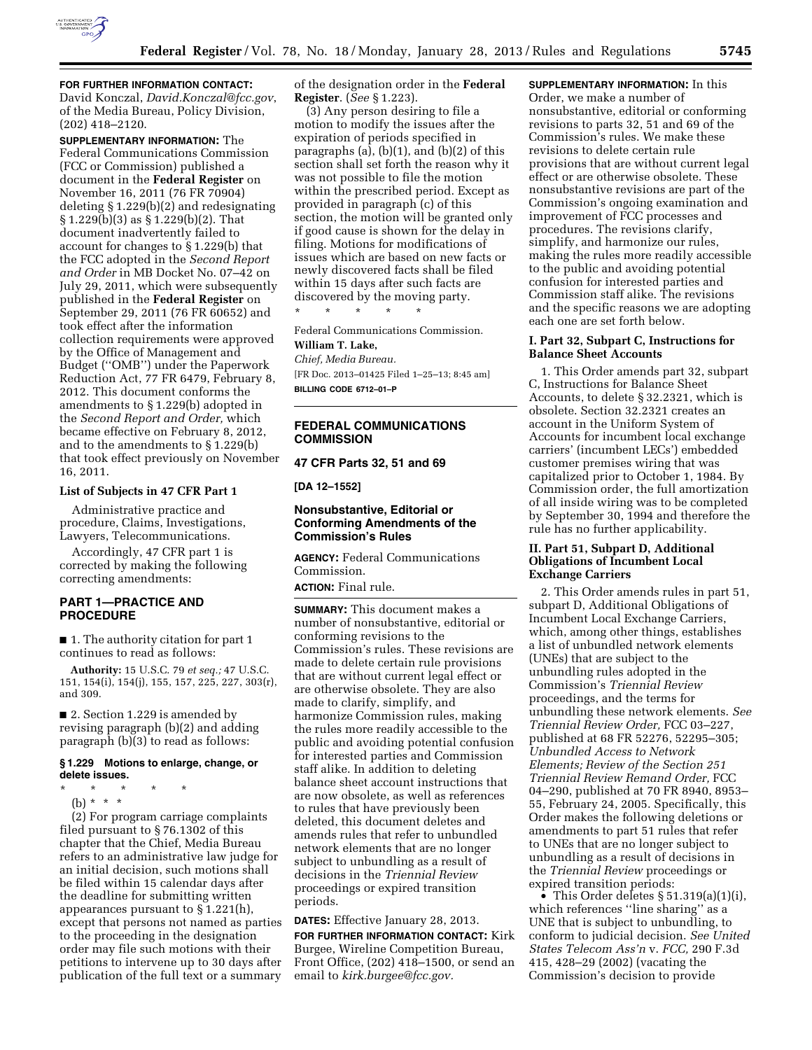

# **FOR FURTHER INFORMATION CONTACT:**

David Konczal, *[David.Konczal@fcc.gov](mailto:David.Konczal@fcc.gov)*, of the Media Bureau, Policy Division, (202) 418–2120.

**SUPPLEMENTARY INFORMATION:** The Federal Communications Commission (FCC or Commission) published a document in the **Federal Register** on November 16, 2011 (76 FR 70904) deleting § 1.229(b)(2) and redesignating § 1.229(b)(3) as § 1.229(b)(2). That document inadvertently failed to account for changes to § 1.229(b) that the FCC adopted in the *Second Report and Order* in MB Docket No. 07–42 on July 29, 2011, which were subsequently published in the **Federal Register** on September 29, 2011 (76 FR 60652) and took effect after the information collection requirements were approved by the Office of Management and Budget (''OMB'') under the Paperwork Reduction Act, 77 FR 6479, February 8, 2012. This document conforms the amendments to § 1.229(b) adopted in the *Second Report and Order,* which became effective on February 8, 2012, and to the amendments to § 1.229(b) that took effect previously on November 16, 2011.

#### **List of Subjects in 47 CFR Part 1**

Administrative practice and procedure, Claims, Investigations, Lawyers, Telecommunications.

Accordingly, 47 CFR part 1 is corrected by making the following correcting amendments:

# **PART 1—PRACTICE AND PROCEDURE**

■ 1. The authority citation for part 1 continues to read as follows:

**Authority:** 15 U.S.C. 79 *et seq.;* 47 U.S.C. 151, 154(i), 154(j), 155, 157, 225, 227, 303(r), and 309.

■ 2. Section 1.229 is amended by revising paragraph (b)(2) and adding paragraph  $(b)(3)$  to read as follows:

## **§ 1.229 Motions to enlarge, change, or delete issues.**

\* \* \* \* \*

(b) \* \* \*

(2) For program carriage complaints filed pursuant to § 76.1302 of this chapter that the Chief, Media Bureau refers to an administrative law judge for an initial decision, such motions shall be filed within 15 calendar days after the deadline for submitting written appearances pursuant to § 1.221(h), except that persons not named as parties to the proceeding in the designation order may file such motions with their petitions to intervene up to 30 days after publication of the full text or a summary

of the designation order in the **Federal Register**. (*See* § 1.223).

(3) Any person desiring to file a motion to modify the issues after the expiration of periods specified in paragraphs (a), (b)(1), and (b)(2) of this section shall set forth the reason why it was not possible to file the motion within the prescribed period. Except as provided in paragraph (c) of this section, the motion will be granted only if good cause is shown for the delay in filing. Motions for modifications of issues which are based on new facts or newly discovered facts shall be filed within 15 days after such facts are discovered by the moving party.

Federal Communications Commission.

#### **William T. Lake,**

*Chief, Media Bureau.* 

\* \* \* \* \*

[FR Doc. 2013–01425 Filed 1–25–13; 8:45 am] **BILLING CODE 6712–01–P** 

# **FEDERAL COMMUNICATIONS COMMISSION**

#### **47 CFR Parts 32, 51 and 69**

**[DA 12–1552]** 

# **Nonsubstantive, Editorial or Conforming Amendments of the Commission's Rules**

**AGENCY:** Federal Communications Commission.

**ACTION:** Final rule.

**SUMMARY:** This document makes a number of nonsubstantive, editorial or conforming revisions to the Commission's rules. These revisions are made to delete certain rule provisions that are without current legal effect or are otherwise obsolete. They are also made to clarify, simplify, and harmonize Commission rules, making the rules more readily accessible to the public and avoiding potential confusion for interested parties and Commission staff alike. In addition to deleting balance sheet account instructions that are now obsolete, as well as references to rules that have previously been deleted, this document deletes and amends rules that refer to unbundled network elements that are no longer subject to unbundling as a result of decisions in the *Triennial Review*  proceedings or expired transition periods.

**DATES:** Effective January 28, 2013.

**FOR FURTHER INFORMATION CONTACT:** Kirk Burgee, Wireline Competition Bureau, Front Office, (202) 418–1500, or send an email to *[kirk.burgee@fcc.gov.](mailto:kirk.burgee@fcc.gov)* 

**SUPPLEMENTARY INFORMATION:** In this

Order, we make a number of nonsubstantive, editorial or conforming revisions to parts 32, 51 and 69 of the Commission's rules. We make these revisions to delete certain rule provisions that are without current legal effect or are otherwise obsolete. These nonsubstantive revisions are part of the Commission's ongoing examination and improvement of FCC processes and procedures. The revisions clarify, simplify, and harmonize our rules, making the rules more readily accessible to the public and avoiding potential confusion for interested parties and Commission staff alike. The revisions and the specific reasons we are adopting each one are set forth below.

# **I. Part 32, Subpart C, Instructions for Balance Sheet Accounts**

1. This Order amends part 32, subpart C, Instructions for Balance Sheet Accounts, to delete § 32.2321, which is obsolete. Section 32.2321 creates an account in the Uniform System of Accounts for incumbent local exchange carriers' (incumbent LECs') embedded customer premises wiring that was capitalized prior to October 1, 1984. By Commission order, the full amortization of all inside wiring was to be completed by September 30, 1994 and therefore the rule has no further applicability.

## **II. Part 51, Subpart D, Additional Obligations of Incumbent Local Exchange Carriers**

2. This Order amends rules in part 51, subpart D, Additional Obligations of Incumbent Local Exchange Carriers, which, among other things, establishes a list of unbundled network elements (UNEs) that are subject to the unbundling rules adopted in the Commission's *Triennial Review*  proceedings, and the terms for unbundling these network elements. *See Triennial Review Order,* FCC 03–227, published at 68 FR 52276, 52295–305; *Unbundled Access to Network Elements; Review of the Section 251 Triennial Review Remand Order,* FCC 04–290, published at 70 FR 8940, 8953– 55, February 24, 2005. Specifically, this Order makes the following deletions or amendments to part 51 rules that refer to UNEs that are no longer subject to unbundling as a result of decisions in the *Triennial Review* proceedings or expired transition periods:

• This Order deletes  $\S 51.319(a)(1)(i)$ , which references "line sharing" as a UNE that is subject to unbundling, to conform to judicial decision. *See United States Telecom Ass'n* v. *FCC,* 290 F.3d 415, 428–29 (2002) (vacating the Commission's decision to provide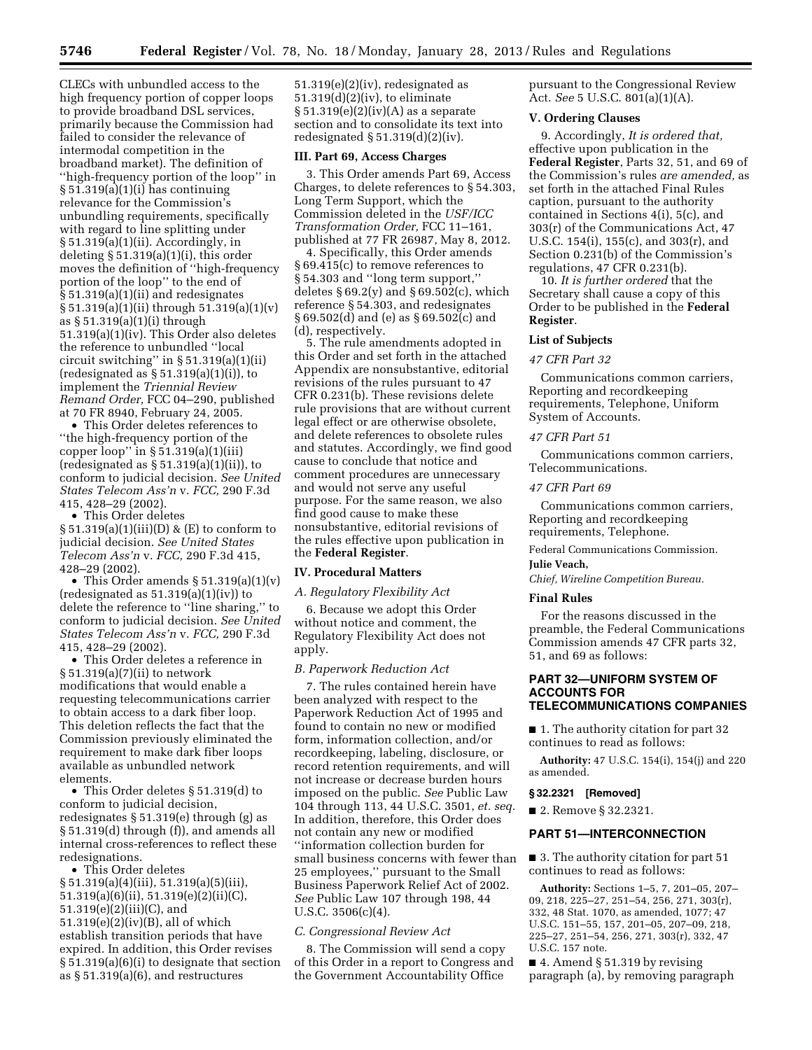CLECs with unbundled access to the high frequency portion of copper loops to provide broadband DSL services, primarily because the Commission had failed to consider the relevance of intermodal competition in the broadband market). The definition of ''high-frequency portion of the loop'' in § 51.319(a)(1)(i) has continuing relevance for the Commission's unbundling requirements, specifically with regard to line splitting under § 51.319(a)(1)(ii). Accordingly, in deleting  $\S 51.319(a)(1)(i)$ , this order moves the definition of ''high-frequency portion of the loop'' to the end of § 51.319(a)(1)(ii) and redesignates § 51.319(a)(1)(ii) through 51.319(a)(1)(v) as § 51.319(a)(1)(i) through 51.319(a)(1)(iv). This Order also deletes the reference to unbundled ''local circuit switching" in  $\S 51.319(a)(1)(ii)$ (redesignated as  $\S 51.319(a)(1)(i)$ ), to implement the *Triennial Review Remand Order,* FCC 04–290, published at 70 FR 8940, February 24, 2005.

• This Order deletes references to ''the high-frequency portion of the copper loop" in  $\S$  51.319(a)(1)(iii) (redesignated as  $\S 51.319(a)(1)(ii)$ ), to conform to judicial decision. *See United States Telecom Ass'n* v. *FCC,* 290 F.3d 415, 428–29 (2002).

• This Order deletes § 51.319(a)(1)(iii)(D) & (E) to conform to judicial decision. *See United States Telecom Ass'n* v. *FCC,* 290 F.3d 415, 428–29 (2002).

• This Order amends § 51.319(a)(1)(v)  $(\text{redesignated as } 51.319(a)(1)(iv))$  to delete the reference to ''line sharing,'' to conform to judicial decision. *See United States Telecom Ass'n* v. *FCC,* 290 F.3d 415, 428–29 (2002).

• This Order deletes a reference in § 51.319(a)(7)(ii) to network modifications that would enable a requesting telecommunications carrier to obtain access to a dark fiber loop. This deletion reflects the fact that the Commission previously eliminated the requirement to make dark fiber loops available as unbundled network elements.

• This Order deletes § 51.319(d) to conform to judicial decision, redesignates § 51.319(e) through (g) as § 51.319(d) through (f)), and amends all internal cross-references to reflect these redesignations.

• This Order deletes § 51.319(a)(4)(iii), 51.319(a)(5)(iii), 51.319(a)(6)(ii), 51.319(e)(2)(ii)(C), 51.319(e)(2)(iii)(C), and 51.319(e)(2)(iv)(B), all of which establish transition periods that have expired. In addition, this Order revises § 51.319(a)(6)(i) to designate that section as  $§ 51.319(a)(6)$ , and restructures

51.319(e)(2)(iv), redesignated as 51.319(d)(2)(iv), to eliminate  $\S 51.319(e)(2)(iv)(A)$  as a separate section and to consolidate its text into redesignated  $\S 51.319(d)(2)(iv)$ .

### **III. Part 69, Access Charges**

3. This Order amends Part 69, Access Charges, to delete references to § 54.303, Long Term Support, which the Commission deleted in the *USF/ICC Transformation Order,* FCC 11–161, published at 77 FR 26987, May 8, 2012.

4. Specifically, this Order amends § 69.415(c) to remove references to § 54.303 and ''long term support,'' deletes  $§ 69.2(y)$  and  $§ 69.502(c)$ , which reference § 54.303, and redesignates § 69.502(d) and (e) as § 69.502(c) and (d), respectively.

5. The rule amendments adopted in this Order and set forth in the attached Appendix are nonsubstantive, editorial revisions of the rules pursuant to 47 CFR 0.231(b). These revisions delete rule provisions that are without current legal effect or are otherwise obsolete, and delete references to obsolete rules and statutes. Accordingly, we find good cause to conclude that notice and comment procedures are unnecessary and would not serve any useful purpose. For the same reason, we also find good cause to make these nonsubstantive, editorial revisions of the rules effective upon publication in the **Federal Register**.

#### **IV. Procedural Matters**

*A. Regulatory Flexibility Act* 

6. Because we adopt this Order without notice and comment, the Regulatory Flexibility Act does not apply.

# *B. Paperwork Reduction Act*

7. The rules contained herein have been analyzed with respect to the Paperwork Reduction Act of 1995 and found to contain no new or modified form, information collection, and/or recordkeeping, labeling, disclosure, or record retention requirements, and will not increase or decrease burden hours imposed on the public. *See* Public Law 104 through 113, 44 U.S.C. 3501, *et. seq.*  In addition, therefore, this Order does not contain any new or modified ''information collection burden for small business concerns with fewer than 25 employees,'' pursuant to the Small Business Paperwork Relief Act of 2002. *See* Public Law 107 through 198, 44 U.S.C. 3506(c)(4).

#### *C. Congressional Review Act*

8. The Commission will send a copy of this Order in a report to Congress and the Government Accountability Office

pursuant to the Congressional Review Act. *See* 5 U.S.C. 801(a)(1)(A).

#### **V. Ordering Clauses**

9. Accordingly, *It is ordered that,*  effective upon publication in the **Federal Register**, Parts 32, 51, and 69 of the Commission's rules *are amended,* as set forth in the attached Final Rules caption, pursuant to the authority contained in Sections 4(i), 5(c), and 303(r) of the Communications Act, 47 U.S.C. 154(i), 155(c), and 303(r), and Section 0.231(b) of the Commission's regulations, 47 CFR 0.231(b).

10. *It is further ordered* that the Secretary shall cause a copy of this Order to be published in the **Federal Register**.

#### **List of Subjects**

#### *47 CFR Part 32*

Communications common carriers, Reporting and recordkeeping requirements, Telephone, Uniform System of Accounts.

## *47 CFR Part 51*

Communications common carriers, Telecommunications.

## *47 CFR Part 69*

Communications common carriers, Reporting and recordkeeping requirements, Telephone.

Federal Communications Commission. **Julie Veach,** 

*Chief, Wireline Competition Bureau.* 

### **Final Rules**

For the reasons discussed in the preamble, the Federal Communications Commission amends 47 CFR parts 32, 51, and 69 as follows:

## **PART 32—UNIFORM SYSTEM OF ACCOUNTS FOR TELECOMMUNICATIONS COMPANIES**

■ 1. The authority citation for part 32 continues to read as follows:

**Authority:** 47 U.S.C. 154(i), 154(j) and 220 as amended.

#### **§ 32.2321 [Removed]**

■ 2. Remove § 32.2321.

#### **PART 51—INTERCONNECTION**

■ 3. The authority citation for part 51 continues to read as follows:

**Authority:** Sections 1–5, 7, 201–05, 207– 09, 218, 225–27, 251–54, 256, 271, 303(r), 332, 48 Stat. 1070, as amended, 1077; 47 U.S.C. 151–55, 157, 201–05, 207–09, 218, 225–27, 251–54, 256, 271, 303(r), 332, 47 U.S.C. 157 note.

 $\blacksquare$  4. Amend § 51.319 by revising paragraph (a), by removing paragraph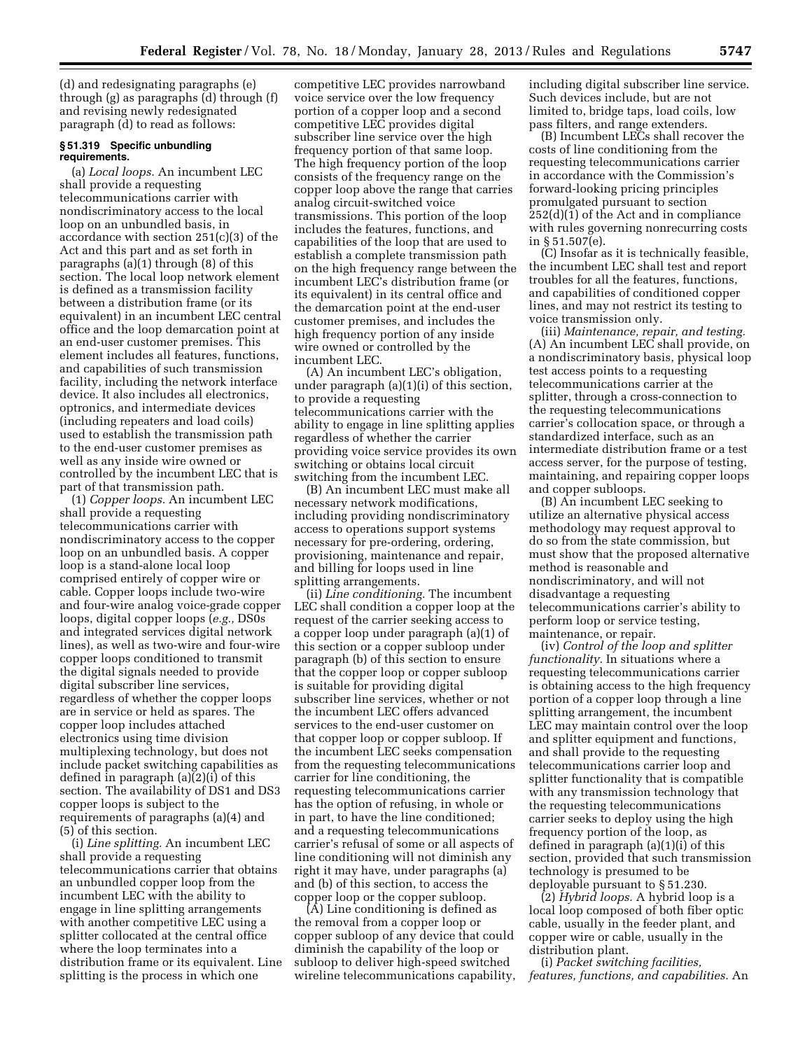(d) and redesignating paragraphs (e) through (g) as paragraphs (d) through (f) and revising newly redesignated paragraph (d) to read as follows:

### **§ 51.319 Specific unbundling requirements.**

(a) *Local loops.* An incumbent LEC shall provide a requesting telecommunications carrier with nondiscriminatory access to the local loop on an unbundled basis, in accordance with section 251(c)(3) of the Act and this part and as set forth in paragraphs (a)(1) through (8) of this section. The local loop network element is defined as a transmission facility between a distribution frame (or its equivalent) in an incumbent LEC central office and the loop demarcation point at an end-user customer premises. This element includes all features, functions, and capabilities of such transmission facility, including the network interface device. It also includes all electronics, optronics, and intermediate devices (including repeaters and load coils) used to establish the transmission path to the end-user customer premises as well as any inside wire owned or controlled by the incumbent LEC that is part of that transmission path.

(1) *Copper loops.* An incumbent LEC shall provide a requesting telecommunications carrier with nondiscriminatory access to the copper loop on an unbundled basis. A copper loop is a stand-alone local loop comprised entirely of copper wire or cable. Copper loops include two-wire and four-wire analog voice-grade copper loops, digital copper loops (*e.g.,* DS0s and integrated services digital network lines), as well as two-wire and four-wire copper loops conditioned to transmit the digital signals needed to provide digital subscriber line services, regardless of whether the copper loops are in service or held as spares. The copper loop includes attached electronics using time division multiplexing technology, but does not include packet switching capabilities as defined in paragraph (a)(2)(i) of this section. The availability of DS1 and DS3 copper loops is subject to the requirements of paragraphs (a)(4) and (5) of this section.

(i) *Line splitting.* An incumbent LEC shall provide a requesting telecommunications carrier that obtains an unbundled copper loop from the incumbent LEC with the ability to engage in line splitting arrangements with another competitive LEC using a splitter collocated at the central office where the loop terminates into a distribution frame or its equivalent. Line splitting is the process in which one

competitive LEC provides narrowband voice service over the low frequency portion of a copper loop and a second competitive LEC provides digital subscriber line service over the high frequency portion of that same loop. The high frequency portion of the loop consists of the frequency range on the copper loop above the range that carries analog circuit-switched voice transmissions. This portion of the loop includes the features, functions, and capabilities of the loop that are used to establish a complete transmission path on the high frequency range between the incumbent LEC's distribution frame (or its equivalent) in its central office and the demarcation point at the end-user customer premises, and includes the high frequency portion of any inside wire owned or controlled by the incumbent LEC.

(A) An incumbent LEC's obligation, under paragraph (a)(1)(i) of this section, to provide a requesting telecommunications carrier with the ability to engage in line splitting applies regardless of whether the carrier providing voice service provides its own switching or obtains local circuit switching from the incumbent LEC.

(B) An incumbent LEC must make all necessary network modifications, including providing nondiscriminatory access to operations support systems necessary for pre-ordering, ordering, provisioning, maintenance and repair, and billing for loops used in line splitting arrangements.

(ii) *Line conditioning.* The incumbent LEC shall condition a copper loop at the request of the carrier seeking access to a copper loop under paragraph (a)(1) of this section or a copper subloop under paragraph (b) of this section to ensure that the copper loop or copper subloop is suitable for providing digital subscriber line services, whether or not the incumbent LEC offers advanced services to the end-user customer on that copper loop or copper subloop. If the incumbent LEC seeks compensation from the requesting telecommunications carrier for line conditioning, the requesting telecommunications carrier has the option of refusing, in whole or in part, to have the line conditioned; and a requesting telecommunications carrier's refusal of some or all aspects of line conditioning will not diminish any right it may have, under paragraphs (a) and (b) of this section, to access the copper loop or the copper subloop.

(A) Line conditioning is defined as the removal from a copper loop or copper subloop of any device that could diminish the capability of the loop or subloop to deliver high-speed switched wireline telecommunications capability, including digital subscriber line service. Such devices include, but are not limited to, bridge taps, load coils, low pass filters, and range extenders.

(B) Incumbent LECs shall recover the costs of line conditioning from the requesting telecommunications carrier in accordance with the Commission's forward-looking pricing principles promulgated pursuant to section 252(d)(1) of the Act and in compliance with rules governing nonrecurring costs in § 51.507(e).

(C) Insofar as it is technically feasible, the incumbent LEC shall test and report troubles for all the features, functions, and capabilities of conditioned copper lines, and may not restrict its testing to voice transmission only.

(iii) *Maintenance, repair, and testing.*  (A) An incumbent LEC shall provide, on a nondiscriminatory basis, physical loop test access points to a requesting telecommunications carrier at the splitter, through a cross-connection to the requesting telecommunications carrier's collocation space, or through a standardized interface, such as an intermediate distribution frame or a test access server, for the purpose of testing, maintaining, and repairing copper loops and copper subloops.

(B) An incumbent LEC seeking to utilize an alternative physical access methodology may request approval to do so from the state commission, but must show that the proposed alternative method is reasonable and nondiscriminatory, and will not disadvantage a requesting telecommunications carrier's ability to perform loop or service testing, maintenance, or repair.

(iv) *Control of the loop and splitter functionality.* In situations where a requesting telecommunications carrier is obtaining access to the high frequency portion of a copper loop through a line splitting arrangement, the incumbent LEC may maintain control over the loop and splitter equipment and functions, and shall provide to the requesting telecommunications carrier loop and splitter functionality that is compatible with any transmission technology that the requesting telecommunications carrier seeks to deploy using the high frequency portion of the loop, as defined in paragraph (a)(1)(i) of this section, provided that such transmission technology is presumed to be deployable pursuant to § 51.230.

(2) *Hybrid loops.* A hybrid loop is a local loop composed of both fiber optic cable, usually in the feeder plant, and copper wire or cable, usually in the distribution plant.

(i) *Packet switching facilities, features, functions, and capabilities.* An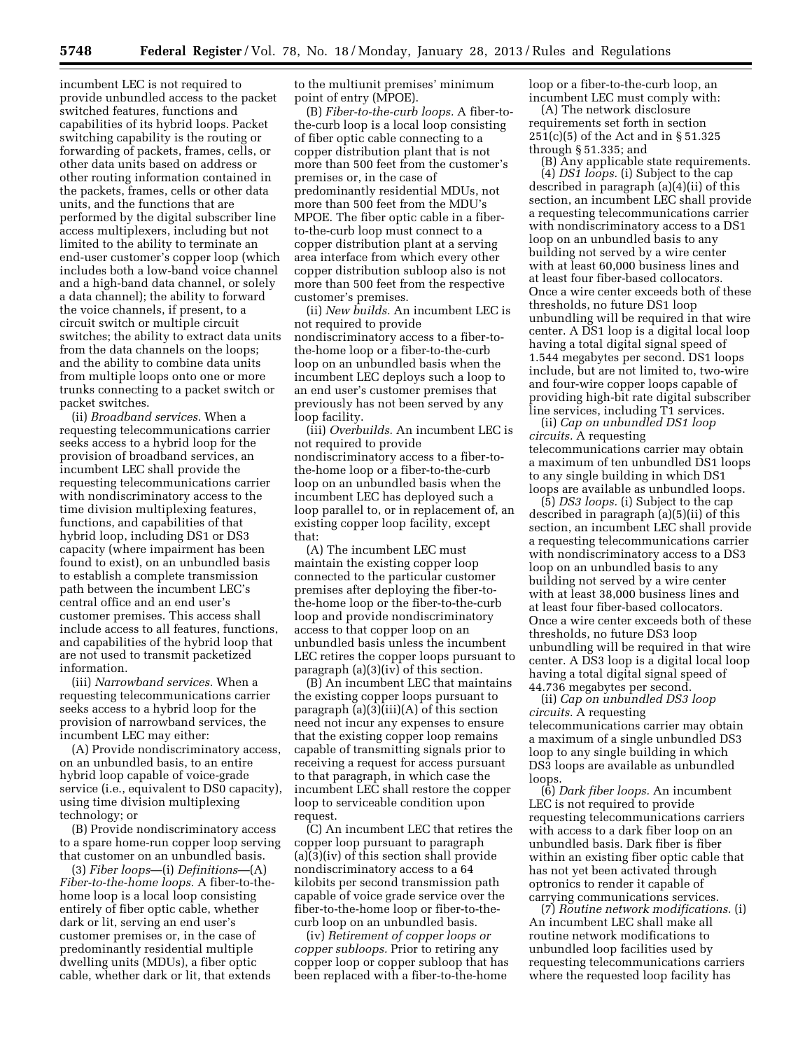incumbent LEC is not required to provide unbundled access to the packet switched features, functions and capabilities of its hybrid loops. Packet switching capability is the routing or forwarding of packets, frames, cells, or other data units based on address or other routing information contained in the packets, frames, cells or other data units, and the functions that are performed by the digital subscriber line access multiplexers, including but not limited to the ability to terminate an end-user customer's copper loop (which includes both a low-band voice channel and a high-band data channel, or solely a data channel); the ability to forward the voice channels, if present, to a circuit switch or multiple circuit switches; the ability to extract data units from the data channels on the loops; and the ability to combine data units from multiple loops onto one or more trunks connecting to a packet switch or packet switches.

(ii) *Broadband services.* When a requesting telecommunications carrier seeks access to a hybrid loop for the provision of broadband services, an incumbent LEC shall provide the requesting telecommunications carrier with nondiscriminatory access to the time division multiplexing features, functions, and capabilities of that hybrid loop, including DS1 or DS3 capacity (where impairment has been found to exist), on an unbundled basis to establish a complete transmission path between the incumbent LEC's central office and an end user's customer premises. This access shall include access to all features, functions, and capabilities of the hybrid loop that are not used to transmit packetized information.

(iii) *Narrowband services.* When a requesting telecommunications carrier seeks access to a hybrid loop for the provision of narrowband services, the incumbent LEC may either:

(A) Provide nondiscriminatory access, on an unbundled basis, to an entire hybrid loop capable of voice-grade service (i.e., equivalent to DS0 capacity), using time division multiplexing technology; or

(B) Provide nondiscriminatory access to a spare home-run copper loop serving that customer on an unbundled basis.

(3) *Fiber loops*—(i) *Definitions*—(A) *Fiber-to-the-home loops.* A fiber-to-thehome loop is a local loop consisting entirely of fiber optic cable, whether dark or lit, serving an end user's customer premises or, in the case of predominantly residential multiple dwelling units (MDUs), a fiber optic cable, whether dark or lit, that extends

to the multiunit premises' minimum point of entry (MPOE).

(B) *Fiber-to-the-curb loops.* A fiber-tothe-curb loop is a local loop consisting of fiber optic cable connecting to a copper distribution plant that is not more than 500 feet from the customer's premises or, in the case of predominantly residential MDUs, not more than 500 feet from the MDU's MPOE. The fiber optic cable in a fiberto-the-curb loop must connect to a copper distribution plant at a serving area interface from which every other copper distribution subloop also is not more than 500 feet from the respective customer's premises.

(ii) *New builds.* An incumbent LEC is not required to provide nondiscriminatory access to a fiber-tothe-home loop or a fiber-to-the-curb loop on an unbundled basis when the incumbent LEC deploys such a loop to an end user's customer premises that previously has not been served by any loop facility.

(iii) *Overbuilds.* An incumbent LEC is not required to provide nondiscriminatory access to a fiber-tothe-home loop or a fiber-to-the-curb loop on an unbundled basis when the incumbent LEC has deployed such a loop parallel to, or in replacement of, an existing copper loop facility, except that:

(A) The incumbent LEC must maintain the existing copper loop connected to the particular customer premises after deploying the fiber-tothe-home loop or the fiber-to-the-curb loop and provide nondiscriminatory access to that copper loop on an unbundled basis unless the incumbent LEC retires the copper loops pursuant to paragraph (a)(3)(iv) of this section.

(B) An incumbent LEC that maintains the existing copper loops pursuant to paragraph  $(a)(3)(iii)(A)$  of this section need not incur any expenses to ensure that the existing copper loop remains capable of transmitting signals prior to receiving a request for access pursuant to that paragraph, in which case the incumbent LEC shall restore the copper loop to serviceable condition upon request.

(C) An incumbent LEC that retires the copper loop pursuant to paragraph (a)(3)(iv) of this section shall provide nondiscriminatory access to a 64 kilobits per second transmission path capable of voice grade service over the fiber-to-the-home loop or fiber-to-thecurb loop on an unbundled basis.

(iv) *Retirement of copper loops or copper subloops.* Prior to retiring any copper loop or copper subloop that has been replaced with a fiber-to-the-home

loop or a fiber-to-the-curb loop, an incumbent LEC must comply with:

(A) The network disclosure requirements set forth in section 251(c)(5) of the Act and in § 51.325 through § 51.335; and

(B) Any applicable state requirements. (4) *DS1 loops.* (i) Subject to the cap described in paragraph (a)(4)(ii) of this section, an incumbent LEC shall provide a requesting telecommunications carrier with nondiscriminatory access to a DS1 loop on an unbundled basis to any building not served by a wire center with at least 60,000 business lines and at least four fiber-based collocators. Once a wire center exceeds both of these thresholds, no future DS1 loop unbundling will be required in that wire center. A DS1 loop is a digital local loop having a total digital signal speed of 1.544 megabytes per second. DS1 loops include, but are not limited to, two-wire and four-wire copper loops capable of providing high-bit rate digital subscriber line services, including T1 services.

(ii) *Cap on unbundled DS1 loop circuits.* A requesting telecommunications carrier may obtain a maximum of ten unbundled DS1 loops to any single building in which DS1 loops are available as unbundled loops.

(5) *DS3 loops.* (i) Subject to the cap described in paragraph (a)(5)(ii) of this section, an incumbent LEC shall provide a requesting telecommunications carrier with nondiscriminatory access to a DS3 loop on an unbundled basis to any building not served by a wire center with at least 38,000 business lines and at least four fiber-based collocators. Once a wire center exceeds both of these thresholds, no future DS3 loop unbundling will be required in that wire center. A DS3 loop is a digital local loop having a total digital signal speed of 44.736 megabytes per second.

(ii) *Cap on unbundled DS3 loop circuits.* A requesting telecommunications carrier may obtain a maximum of a single unbundled DS3 loop to any single building in which DS3 loops are available as unbundled loops.

(6) *Dark fiber loops.* An incumbent LEC is not required to provide requesting telecommunications carriers with access to a dark fiber loop on an unbundled basis. Dark fiber is fiber within an existing fiber optic cable that has not yet been activated through optronics to render it capable of carrying communications services.

(7) *Routine network modifications.* (i) An incumbent LEC shall make all routine network modifications to unbundled loop facilities used by requesting telecommunications carriers where the requested loop facility has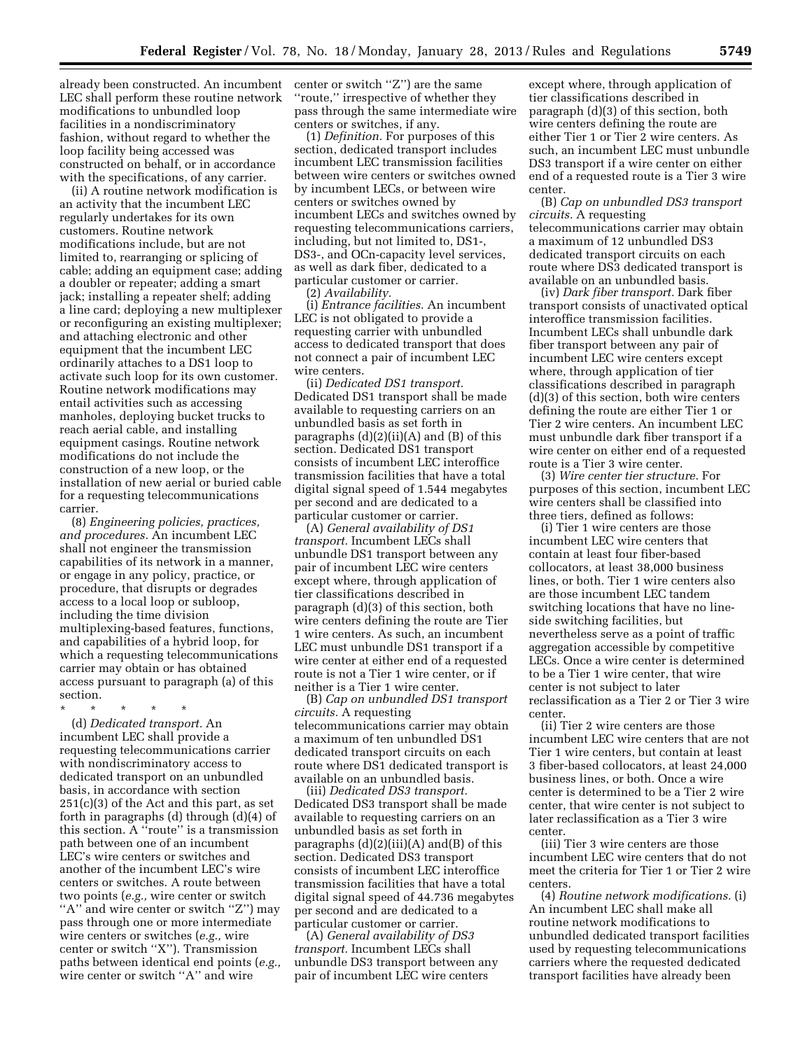already been constructed. An incumbent LEC shall perform these routine network modifications to unbundled loop facilities in a nondiscriminatory fashion, without regard to whether the loop facility being accessed was constructed on behalf, or in accordance with the specifications, of any carrier.

(ii) A routine network modification is an activity that the incumbent LEC regularly undertakes for its own customers. Routine network modifications include, but are not limited to, rearranging or splicing of cable; adding an equipment case; adding a doubler or repeater; adding a smart jack; installing a repeater shelf; adding a line card; deploying a new multiplexer or reconfiguring an existing multiplexer; and attaching electronic and other equipment that the incumbent LEC ordinarily attaches to a DS1 loop to activate such loop for its own customer. Routine network modifications may entail activities such as accessing manholes, deploying bucket trucks to reach aerial cable, and installing equipment casings. Routine network modifications do not include the construction of a new loop, or the installation of new aerial or buried cable for a requesting telecommunications carrier.

(8) *Engineering policies, practices, and procedures.* An incumbent LEC shall not engineer the transmission capabilities of its network in a manner, or engage in any policy, practice, or procedure, that disrupts or degrades access to a local loop or subloop, including the time division multiplexing-based features, functions, and capabilities of a hybrid loop, for which a requesting telecommunications carrier may obtain or has obtained access pursuant to paragraph (a) of this section.

\* \* \* \* \*

(d) *Dedicated transport.* An incumbent LEC shall provide a requesting telecommunications carrier with nondiscriminatory access to dedicated transport on an unbundled basis, in accordance with section 251(c)(3) of the Act and this part, as set forth in paragraphs (d) through (d)(4) of this section. A ''route'' is a transmission path between one of an incumbent LEC's wire centers or switches and another of the incumbent LEC's wire centers or switches. A route between two points (*e.g.,* wire center or switch "A" and wire center or switch "Z") may pass through one or more intermediate wire centers or switches (*e.g.,* wire center or switch ''X''). Transmission paths between identical end points (*e.g.,*  wire center or switch ''A'' and wire

center or switch ''Z'') are the same ''route,'' irrespective of whether they pass through the same intermediate wire centers or switches, if any.

(1) *Definition.* For purposes of this section, dedicated transport includes incumbent LEC transmission facilities between wire centers or switches owned by incumbent LECs, or between wire centers or switches owned by incumbent LECs and switches owned by requesting telecommunications carriers, including, but not limited to, DS1-, DS3-, and OCn-capacity level services, as well as dark fiber, dedicated to a particular customer or carrier.

(2) *Availability.* 

(i) *Entrance facilities.* An incumbent LEC is not obligated to provide a requesting carrier with unbundled access to dedicated transport that does not connect a pair of incumbent LEC wire centers.

(ii) *Dedicated DS1 transport.*  Dedicated DS1 transport shall be made available to requesting carriers on an unbundled basis as set forth in paragraphs  $(d)(2)(ii)(A)$  and  $(B)$  of this section. Dedicated DS1 transport consists of incumbent LEC interoffice transmission facilities that have a total digital signal speed of 1.544 megabytes per second and are dedicated to a particular customer or carrier.

(A) *General availability of DS1 transport.* Incumbent LECs shall unbundle DS1 transport between any pair of incumbent LEC wire centers except where, through application of tier classifications described in paragraph (d)(3) of this section, both wire centers defining the route are Tier 1 wire centers. As such, an incumbent LEC must unbundle DS1 transport if a wire center at either end of a requested route is not a Tier 1 wire center, or if neither is a Tier 1 wire center.

(B) *Cap on unbundled DS1 transport circuits.* A requesting telecommunications carrier may obtain a maximum of ten unbundled DS1 dedicated transport circuits on each route where DS1 dedicated transport is available on an unbundled basis.

(iii) *Dedicated DS3 transport.*  Dedicated DS3 transport shall be made available to requesting carriers on an unbundled basis as set forth in paragraphs  $(d)(2)(iii)(A)$  and $(B)$  of this section. Dedicated DS3 transport consists of incumbent LEC interoffice transmission facilities that have a total digital signal speed of 44.736 megabytes per second and are dedicated to a particular customer or carrier.

(A) *General availability of DS3 transport.* Incumbent LECs shall unbundle DS3 transport between any pair of incumbent LEC wire centers

except where, through application of tier classifications described in paragraph (d)(3) of this section, both wire centers defining the route are either Tier 1 or Tier 2 wire centers. As such, an incumbent LEC must unbundle DS3 transport if a wire center on either end of a requested route is a Tier 3 wire center.

(B) *Cap on unbundled DS3 transport circuits.* A requesting telecommunications carrier may obtain a maximum of 12 unbundled DS3 dedicated transport circuits on each route where DS3 dedicated transport is available on an unbundled basis.

(iv) *Dark fiber transport.* Dark fiber transport consists of unactivated optical interoffice transmission facilities. Incumbent LECs shall unbundle dark fiber transport between any pair of incumbent LEC wire centers except where, through application of tier classifications described in paragraph (d)(3) of this section, both wire centers defining the route are either Tier 1 or Tier 2 wire centers. An incumbent LEC must unbundle dark fiber transport if a wire center on either end of a requested route is a Tier 3 wire center.

(3) *Wire center tier structure.* For purposes of this section, incumbent LEC wire centers shall be classified into three tiers, defined as follows:

(i) Tier 1 wire centers are those incumbent LEC wire centers that contain at least four fiber-based collocators, at least 38,000 business lines, or both. Tier 1 wire centers also are those incumbent LEC tandem switching locations that have no lineside switching facilities, but nevertheless serve as a point of traffic aggregation accessible by competitive LECs. Once a wire center is determined to be a Tier 1 wire center, that wire center is not subject to later reclassification as a Tier 2 or Tier 3 wire center.

(ii) Tier 2 wire centers are those incumbent LEC wire centers that are not Tier 1 wire centers, but contain at least 3 fiber-based collocators, at least 24,000 business lines, or both. Once a wire center is determined to be a Tier 2 wire center, that wire center is not subject to later reclassification as a Tier 3 wire center.

(iii) Tier 3 wire centers are those incumbent LEC wire centers that do not meet the criteria for Tier 1 or Tier 2 wire centers.

(4) *Routine network modifications.* (i) An incumbent LEC shall make all routine network modifications to unbundled dedicated transport facilities used by requesting telecommunications carriers where the requested dedicated transport facilities have already been